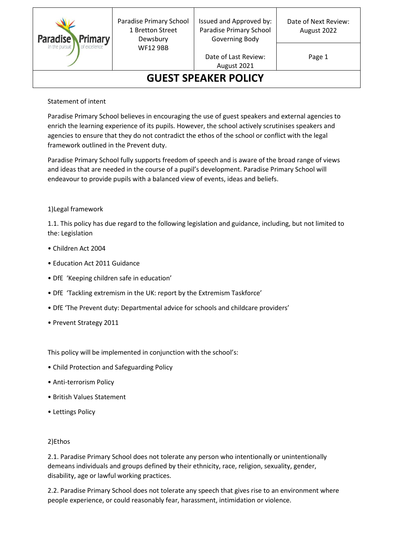

Paradise Primary School 1 Bretton Street Dewsbury WF12 9BB

Issued and Approved by: Paradise Primary School Governing Body

> Date of Last Review: August 2021

Page 1

# **GUEST SPEAKER POLICY**

### Statement of intent

Paradise Primary School believes in encouraging the use of guest speakers and external agencies to enrich the learning experience of its pupils. However, the school actively scrutinises speakers and agencies to ensure that they do not contradict the ethos of the school or conflict with the legal framework outlined in the Prevent duty.

Paradise Primary School fully supports freedom of speech and is aware of the broad range of views and ideas that are needed in the course of a pupil's development. Paradise Primary School will endeavour to provide pupils with a balanced view of events, ideas and beliefs.

### 1)Legal framework

1.1. This policy has due regard to the following legislation and guidance, including, but not limited to the: Legislation

- Children Act 2004
- Education Act 2011 Guidance
- DfE 'Keeping children safe in education'
- DfE 'Tackling extremism in the UK: report by the Extremism Taskforce'
- DfE 'The Prevent duty: Departmental advice for schools and childcare providers'
- Prevent Strategy 2011

This policy will be implemented in conjunction with the school's:

- Child Protection and Safeguarding Policy
- Anti-terrorism Policy
- British Values Statement
- Lettings Policy

### 2)Ethos

2.1. Paradise Primary School does not tolerate any person who intentionally or unintentionally demeans individuals and groups defined by their ethnicity, race, religion, sexuality, gender, disability, age or lawful working practices.

2.2. Paradise Primary School does not tolerate any speech that gives rise to an environment where people experience, or could reasonably fear, harassment, intimidation or violence.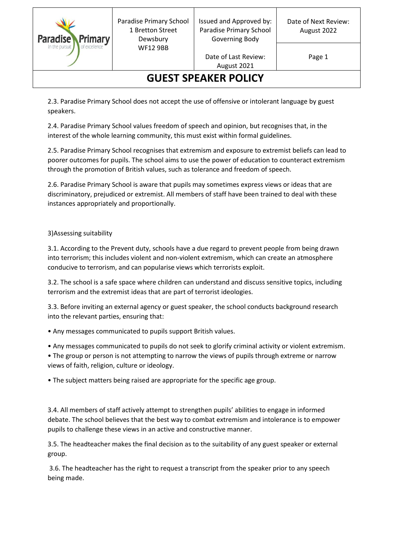

Paradise Primary School 1 Bretton Street Dewsbury WF12 9BB

Issued and Approved by: Paradise Primary School Governing Body

> Date of Last Review: August 2021

Page 1

## **GUEST SPEAKER POLICY**

2.3. Paradise Primary School does not accept the use of offensive or intolerant language by guest speakers.

2.4. Paradise Primary School values freedom of speech and opinion, but recognises that, in the interest of the whole learning community, this must exist within formal guidelines.

2.5. Paradise Primary School recognises that extremism and exposure to extremist beliefs can lead to poorer outcomes for pupils. The school aims to use the power of education to counteract extremism through the promotion of British values, such as tolerance and freedom of speech.

2.6. Paradise Primary School is aware that pupils may sometimes express views or ideas that are discriminatory, prejudiced or extremist. All members of staff have been trained to deal with these instances appropriately and proportionally.

### 3)Assessing suitability

3.1. According to the Prevent duty, schools have a due regard to prevent people from being drawn into terrorism; this includes violent and non-violent extremism, which can create an atmosphere conducive to terrorism, and can popularise views which terrorists exploit.

3.2. The school is a safe space where children can understand and discuss sensitive topics, including terrorism and the extremist ideas that are part of terrorist ideologies.

3.3. Before inviting an external agency or guest speaker, the school conducts background research into the relevant parties, ensuring that:

• Any messages communicated to pupils support British values.

- Any messages communicated to pupils do not seek to glorify criminal activity or violent extremism.
- The group or person is not attempting to narrow the views of pupils through extreme or narrow views of faith, religion, culture or ideology.

• The subject matters being raised are appropriate for the specific age group.

3.4. All members of staff actively attempt to strengthen pupils' abilities to engage in informed debate. The school believes that the best way to combat extremism and intolerance is to empower pupils to challenge these views in an active and constructive manner.

3.5. The headteacher makes the final decision as to the suitability of any guest speaker or external group.

3.6. The headteacher has the right to request a transcript from the speaker prior to any speech being made.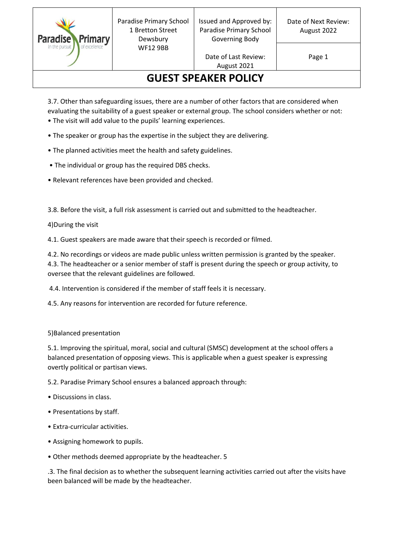

Paradise Primary School 1 Bretton Street Dewsbury WF12 9BB

Issued and Approved by: Paradise Primary School Governing Body

> Date of Last Review: August 2021

Page 1

# **GUEST SPEAKER POLICY**

3.7. Other than safeguarding issues, there are a number of other factors that are considered when evaluating the suitability of a guest speaker or external group. The school considers whether or not: • The visit will add value to the pupils' learning experiences.

- The speaker or group has the expertise in the subject they are delivering.
- The planned activities meet the health and safety guidelines.
- The individual or group has the required DBS checks.
- Relevant references have been provided and checked.

3.8. Before the visit, a full risk assessment is carried out and submitted to the headteacher.

4)During the visit

4.1. Guest speakers are made aware that their speech is recorded or filmed.

4.2. No recordings or videos are made public unless written permission is granted by the speaker. 4.3. The headteacher or a senior member of staff is present during the speech or group activity, to oversee that the relevant guidelines are followed.

4.4. Intervention is considered if the member of staff feels it is necessary.

4.5. Any reasons for intervention are recorded for future reference.

### 5)Balanced presentation

5.1. Improving the spiritual, moral, social and cultural (SMSC) development at the school offers a balanced presentation of opposing views. This is applicable when a guest speaker is expressing overtly political or partisan views.

5.2. Paradise Primary School ensures a balanced approach through:

- Discussions in class.
- Presentations by staff.
- Extra-curricular activities.
- Assigning homework to pupils.
- Other methods deemed appropriate by the headteacher. 5

.3. The final decision as to whether the subsequent learning activities carried out after the visits have been balanced will be made by the headteacher.